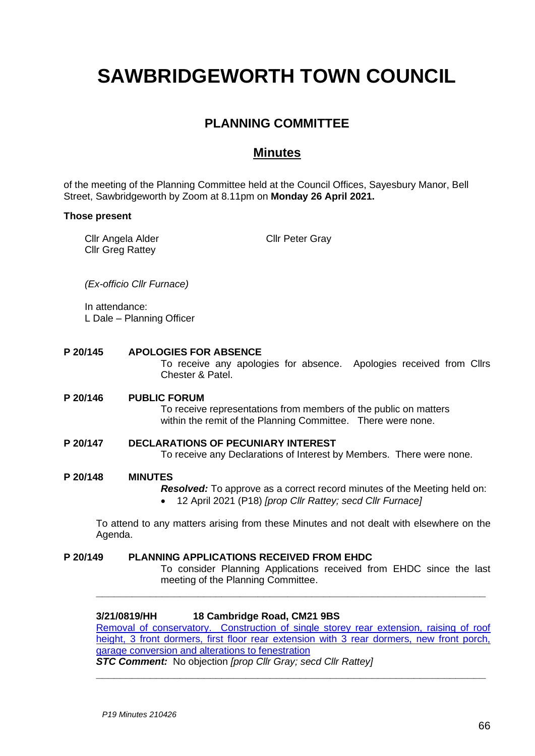# **SAWBRIDGEWORTH TOWN COUNCIL**

# **PLANNING COMMITTEE**

## **Minutes**

of the meeting of the Planning Committee held at the Council Offices, Sayesbury Manor, Bell Street, Sawbridgeworth by Zoom at 8.11pm on **Monday 26 April 2021.**

## **Those present**

| Cllr Angela Alder | <b>Cllr Peter Gray</b> |
|-------------------|------------------------|
| Cllr Greg Rattey  |                        |

*(Ex-officio Cllr Furnace)*

In attendance: L Dale – Planning Officer

**P 20/145 APOLOGIES FOR ABSENCE**

To receive any apologies for absence. Apologies received from Cllrs Chester & Patel.

## **P 20/146 PUBLIC FORUM**

To receive representations from members of the public on matters within the remit of the Planning Committee. There were none.

## **P 20/147 DECLARATIONS OF PECUNIARY INTEREST**

To receive any Declarations of Interest by Members. There were none.

#### **P 20/148 MINUTES**

*Resolved:* To approve as a correct record minutes of the Meeting held on: • 12 April 2021 (P18) *[prop Cllr Rattey; secd Cllr Furnace]*

To attend to any matters arising from these Minutes and not dealt with elsewhere on the Agenda.

## **P 20/149 PLANNING APPLICATIONS RECEIVED FROM EHDC** To consider Planning Applications received from EHDC since the last meeting of the Planning Committee. **\_\_\_\_\_\_\_\_\_\_\_\_\_\_\_\_\_\_\_\_\_\_\_\_\_\_\_\_\_\_\_\_\_\_\_\_\_\_\_\_\_\_\_\_\_\_\_\_\_\_\_\_\_\_\_\_\_\_\_\_\_\_\_\_\_**

**3/21/0819/HH 18 Cambridge Road, CM21 9BS**  [Removal of conservatory. Construction of single storey rear extension, raising of roof](https://publicaccess.eastherts.gov.uk/online-applications/applicationDetails.do?activeTab=documents&keyVal=QQMBQIGLLS000)  height, 3 front dormers, first floor rear extension with 3 rear dormers, new front porch, [garage conversion and alterations to fenestration](https://publicaccess.eastherts.gov.uk/online-applications/applicationDetails.do?activeTab=documents&keyVal=QQMBQIGLLS000) *STC Comment:* No objection *[prop Cllr Gray; secd Cllr Rattey]*

**\_\_\_\_\_\_\_\_\_\_\_\_\_\_\_\_\_\_\_\_\_\_\_\_\_\_\_\_\_\_\_\_\_\_\_\_\_\_\_\_\_\_\_\_\_\_\_\_\_\_\_\_\_\_\_\_\_\_\_\_\_\_\_\_\_**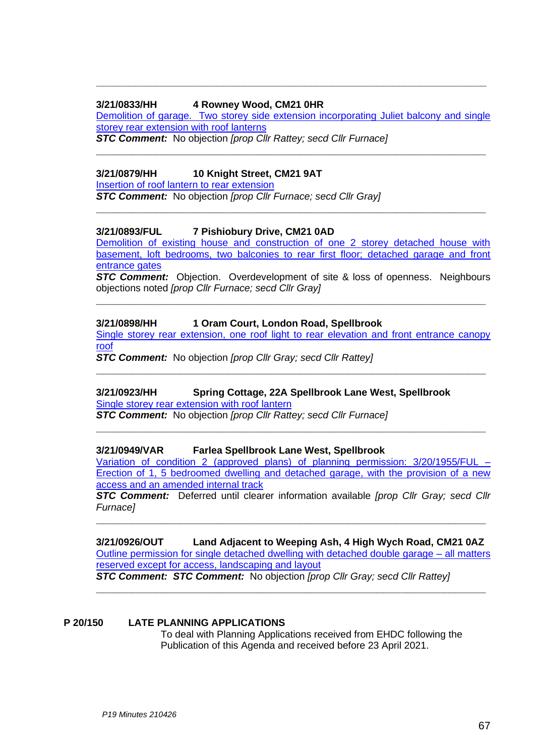## **3/21/0833/HH 4 Rowney Wood, CM21 0HR**

Demolition [of garage. Two storey side extension incorporating Juliet](https://publicaccess.eastherts.gov.uk/online-applications/applicationDetails.do?activeTab=documents&keyVal=QQQKG5GLLT400) balcony and single [storey rear extension with roof lanterns](https://publicaccess.eastherts.gov.uk/online-applications/applicationDetails.do?activeTab=documents&keyVal=QQQKG5GLLT400)

**\_\_\_\_\_\_\_\_\_\_\_\_\_\_\_\_\_\_\_\_\_\_\_\_\_\_\_\_\_\_\_\_\_\_\_\_\_\_\_\_\_\_\_\_\_\_\_\_\_\_\_\_\_\_\_\_\_\_\_\_\_\_\_\_\_**

**\_\_\_\_\_\_\_\_\_\_\_\_\_\_\_\_\_\_\_\_\_\_\_\_\_\_\_\_\_\_\_\_\_\_\_\_\_\_\_\_\_\_\_\_\_\_\_\_\_\_\_\_\_\_\_\_\_\_\_\_\_\_\_\_\_**

**\_\_\_\_\_\_\_\_\_\_\_\_\_\_\_\_\_\_\_\_\_\_\_\_\_\_\_\_\_\_\_\_\_\_\_\_\_\_\_\_\_\_\_\_\_\_\_\_\_\_\_\_\_\_\_\_\_\_\_\_\_\_\_\_\_\_\_\_\_\_\_**

*STC Comment:* No objection *[prop Cllr Rattey; secd Cllr Furnace]*

## **3/21/0879/HH 10 Knight Street, CM21 9AT**

[Insertion of roof lantern](https://publicaccess.eastherts.gov.uk/online-applications/applicationDetails.do?activeTab=documents&keyVal=QR52MPGLLWR00) to rear extension

*STC Comment:* No objection *[prop Cllr Furnace; secd Cllr Gray]*

## **3/21/0893/FUL 7 Pishiobury Drive, CM21 0AD**

[Demolition of existing house and construction of one 2 storey detached house with](https://publicaccess.eastherts.gov.uk/online-applications/applicationDetails.do?activeTab=documents&keyVal=QR6PPXGL04O00)  [basement, loft bedrooms, two balconies to rear first floor; detached garage and front](https://publicaccess.eastherts.gov.uk/online-applications/applicationDetails.do?activeTab=documents&keyVal=QR6PPXGL04O00) [entrance gates](https://publicaccess.eastherts.gov.uk/online-applications/applicationDetails.do?activeTab=documents&keyVal=QR6PPXGL04O00)

*STC Comment:* Objection. Overdevelopment of site & loss of openness. Neighbours objections noted *[prop Cllr Furnace; secd Cllr Gray]*

**\_\_\_\_\_\_\_\_\_\_\_\_\_\_\_\_\_\_\_\_\_\_\_\_\_\_\_\_\_\_\_\_\_\_\_\_\_\_\_\_\_\_\_\_\_\_\_\_\_\_\_\_\_\_\_\_\_\_\_\_\_\_\_\_\_**

## **3/21/0898/HH 1 Oram Court, London Road, Spellbrook**

[Single storey rear extension, one roof light to rear elevation and front entrance canopy](https://publicaccess.eastherts.gov.uk/online-applications/applicationDetails.do?activeTab=documents&keyVal=QR78FWGLLXL00)  [roof](https://publicaccess.eastherts.gov.uk/online-applications/applicationDetails.do?activeTab=documents&keyVal=QR78FWGLLXL00)

**\_\_\_\_\_\_\_\_\_\_\_\_\_\_\_\_\_\_\_\_\_\_\_\_\_\_\_\_\_\_\_\_\_\_\_\_\_\_\_\_\_\_\_\_\_\_\_\_\_\_\_\_\_\_\_\_\_\_\_\_\_\_\_\_\_**

**\_\_\_\_\_\_\_\_\_\_\_\_\_\_\_\_\_\_\_\_\_\_\_\_\_\_\_\_\_\_\_\_\_\_\_\_\_\_\_\_\_\_\_\_\_\_\_\_\_\_\_\_\_\_\_\_\_\_\_\_\_\_\_\_\_**

*STC Comment:* No objection *[prop Cllr Gray; secd Cllr Rattey]*

# **3/21/0923/HH Spring Cottage, 22A Spellbrook Lane West, Spellbrook**

[Single storey rear extension with roof lantern](https://publicaccess.eastherts.gov.uk/online-applications/applicationDetails.do?activeTab=documents&keyVal=QRAMMFGLLYZ00) *STC Comment:* No objection *[prop Cllr Rattey; secd Cllr Furnace]*

## **3/21/0949/VAR Farlea Spellbrook Lane West, Spellbrook**

[Variation of condition 2 \(approved plans\)](https://publicaccess.eastherts.gov.uk/online-applications/applicationDetails.do?activeTab=documents&keyVal=QRHQ8MGLM1100) of planning permission: 3/20/1955/FUL – [Erection of 1, 5 bedroomed dwelling and detached garage, with the provision of a new](https://publicaccess.eastherts.gov.uk/online-applications/applicationDetails.do?activeTab=documents&keyVal=QRHQ8MGLM1100)  [access and an amended internal track](https://publicaccess.eastherts.gov.uk/online-applications/applicationDetails.do?activeTab=documents&keyVal=QRHQ8MGLM1100)

*STC Comment:* Deferred until clearer information available *[prop Cllr Gray; secd Cllr Furnace]*

**\_\_\_\_\_\_\_\_\_\_\_\_\_\_\_\_\_\_\_\_\_\_\_\_\_\_\_\_\_\_\_\_\_\_\_\_\_\_\_\_\_\_\_\_\_\_\_\_\_\_\_\_\_\_\_\_\_\_\_\_\_\_\_\_\_**

## **3/21/0926/OUT Land Adjacent to Weeping Ash, 4 High Wych Road, CM21 0AZ** [Outline permission for single detached dwelling with detached double garage –](https://publicaccess.eastherts.gov.uk/online-applications/applicationDetails.do?activeTab=documents&keyVal=QRAXRHGLLZ600) all matters [reserved except for access, landscaping and layout](https://publicaccess.eastherts.gov.uk/online-applications/applicationDetails.do?activeTab=documents&keyVal=QRAXRHGLLZ600)

**\_\_\_\_\_\_\_\_\_\_\_\_\_\_\_\_\_\_\_\_\_\_\_\_\_\_\_\_\_\_\_\_\_\_\_\_\_\_\_\_\_\_\_\_\_\_\_\_\_\_\_\_\_\_\_\_\_\_\_\_\_\_\_\_\_**

*STC Comment: STC Comment:* No objection *[prop Cllr Gray; secd Cllr Rattey]*

#### **P 20/150 LATE PLANNING APPLICATIONS**

To deal with Planning Applications received from EHDC following the Publication of this Agenda and received before 23 April 2021.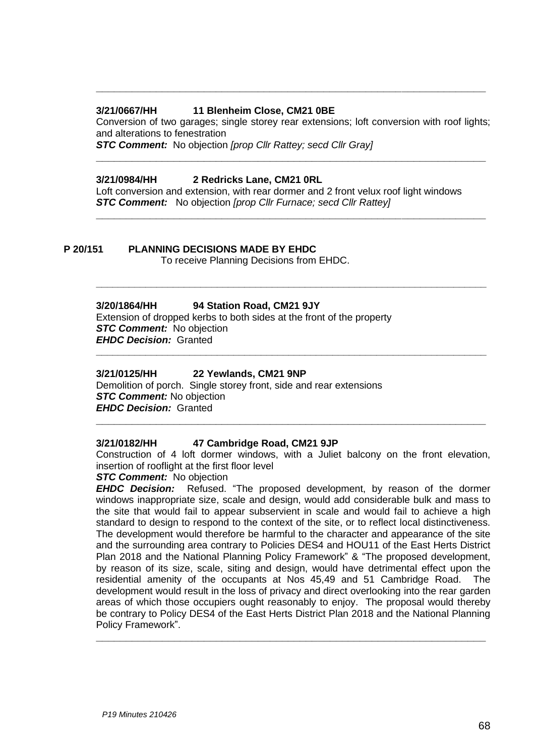## **3/21/0667/HH 11 Blenheim Close, CM21 0BE**

Conversion of two garages; single storey rear extensions; loft conversion with roof lights; and alterations to fenestration

**\_\_\_\_\_\_\_\_\_\_\_\_\_\_\_\_\_\_\_\_\_\_\_\_\_\_\_\_\_\_\_\_\_\_\_\_\_\_\_\_\_\_\_\_\_\_\_\_\_\_\_\_\_\_\_\_\_\_\_\_\_\_\_\_\_**

**\_\_\_\_\_\_\_\_\_\_\_\_\_\_\_\_\_\_\_\_\_\_\_\_\_\_\_\_\_\_\_\_\_\_\_\_\_\_\_\_\_\_\_\_\_\_\_\_\_\_\_\_\_\_\_\_\_\_\_\_\_\_\_\_\_**

**\_\_\_\_\_\_\_\_\_\_\_\_\_\_\_\_\_\_\_\_\_\_\_\_\_\_\_\_\_\_\_\_\_\_\_\_\_\_\_\_\_\_\_\_\_\_\_\_\_\_\_\_\_\_\_\_\_\_\_\_\_\_\_\_\_\_\_\_\_\_\_**

**\_\_\_\_\_\_\_\_\_\_\_\_\_\_\_\_\_\_\_\_\_\_\_\_\_\_\_\_\_\_\_\_\_\_\_\_\_\_\_\_\_\_\_\_\_\_\_\_\_\_\_\_\_\_\_\_\_\_\_\_\_\_\_\_\_\_\_\_\_\_\_**

**\_\_\_\_\_\_\_\_\_\_\_\_\_\_\_\_\_\_\_\_\_\_\_\_\_\_\_\_\_\_\_\_\_\_\_\_\_\_\_\_\_\_\_\_\_\_\_\_\_\_\_\_\_\_\_\_\_\_\_\_\_\_\_\_\_**

*STC Comment:* No objection *[prop Cllr Rattey; secd Cllr Gray]*

## **3/21/0984/HH 2 Redricks Lane, CM21 0RL**

Loft conversion and extension, with rear dormer and 2 front velux roof light windows *STC Comment:* No objection *[prop Cllr Furnace; secd Cllr Rattey]*

## **P 20/151 PLANNING DECISIONS MADE BY EHDC**

To receive Planning Decisions from EHDC.

## **3/20/1864/HH 94 Station Road, CM21 9JY**

Extension of dropped kerbs to both sides at the front of the property *STC Comment:* No objection *EHDC Decision:* Granted

## **3/21/0125/HH 22 Yewlands, CM21 9NP**

Demolition of porch. Single storey front, side and rear extensions *STC Comment:* No objection *EHDC Decision:* Granted

#### **3/21/0182/HH 47 Cambridge Road, CM21 9JP**

Construction of 4 loft dormer windows, with a Juliet balcony on the front elevation, insertion of rooflight at the first floor level

**\_\_\_\_\_\_\_\_\_\_\_\_\_\_\_\_\_\_\_\_\_\_\_\_\_\_\_\_\_\_\_\_\_\_\_\_\_\_\_\_\_\_\_\_\_\_\_\_\_\_\_\_\_\_\_\_\_\_\_\_\_\_\_\_\_**

## **STC Comment:** No objection

*EHDC Decision:* Refused. "The proposed development, by reason of the dormer windows inappropriate size, scale and design, would add considerable bulk and mass to the site that would fail to appear subservient in scale and would fail to achieve a high standard to design to respond to the context of the site, or to reflect local distinctiveness. The development would therefore be harmful to the character and appearance of the site and the surrounding area contrary to Policies DES4 and HOU11 of the East Herts District Plan 2018 and the National Planning Policy Framework" & "The proposed development, by reason of its size, scale, siting and design, would have detrimental effect upon the residential amenity of the occupants at Nos 45,49 and 51 Cambridge Road. The development would result in the loss of privacy and direct overlooking into the rear garden areas of which those occupiers ought reasonably to enjoy. The proposal would thereby be contrary to Policy DES4 of the East Herts District Plan 2018 and the National Planning Policy Framework".

**\_\_\_\_\_\_\_\_\_\_\_\_\_\_\_\_\_\_\_\_\_\_\_\_\_\_\_\_\_\_\_\_\_\_\_\_\_\_\_\_\_\_\_\_\_\_\_\_\_\_\_\_\_\_\_\_\_\_\_\_\_\_\_\_\_**